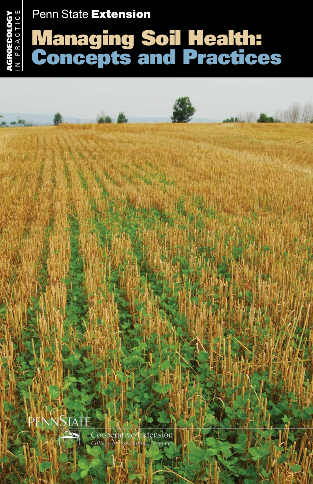# Penn State Extension

cology

in Practice

# Managing Soil Health: Concepts and Practices AGROECOLOGY<br>N PRACTICE

Barnett Miller Cooperative Extension  $Coll$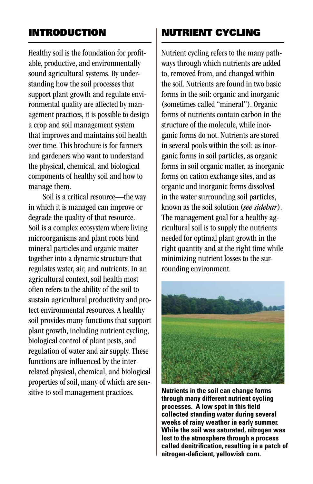## Introduction

Healthy soil is the foundation for profitable, productive, and environmentally sound agricultural systems. By understanding how the soil processes that support plant growth and regulate environmental quality are affected by management practices, it is possible to design a crop and soil management system that improves and maintains soil health over time. This brochure is for farmers and gardeners who want to understand the physical, chemical, and biological components of healthy soil and how to manage them.

Soil is a critical resource—the way in which it is managed can improve or degrade the quality of that resource. Soil is a complex ecosystem where living microorganisms and plant roots bind mineral particles and organic matter together into a dynamic structure that regulates water, air, and nutrients. In an agricultural context, soil health most often refers to the ability of the soil to sustain agricultural productivity and protect environmental resources. A healthy soil provides many functions that support plant growth, including nutrient cycling, biological control of plant pests, and regulation of water and air supply. These functions are influenced by the interrelated physical, chemical, and biological properties of soil, many of which are sensitive to soil management practices.

# Nutrient Cycling

Nutrient cycling refers to the many pathways through which nutrients are added to, removed from, and changed within the soil. Nutrients are found in two basic forms in the soil: organic and inorganic (sometimes called "mineral"). Organic forms of nutrients contain carbon in the structure of the molecule, while inorganic forms do not. Nutrients are stored in several pools within the soil: as inorganic forms in soil particles, as organic forms in soil organic matter, as inorganic forms on cation exchange sites, and as organic and inorganic forms dissolved in the water surrounding soil particles, known as the soil solution (*see sidebar*). The management goal for a healthy agricultural soil is to supply the nutrients needed for optimal plant growth in the right quantity and at the right time while minimizing nutrient losses to the surrounding environment.



**Nutrients in the soil can change forms through many different nutrient cycling processes. A low spot in this field collected standing water during several weeks of rainy weather in early summer. While the soil was saturated, nitrogen was lost to the atmosphere through a process called denitrification, resulting in a patch of nitrogen-deficient, yellowish corn.**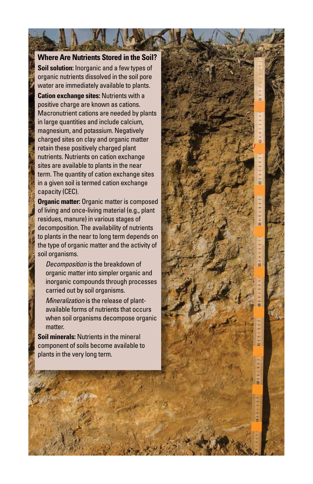**Where Are Nutrients Stored in the Soil? Soil solution:** Inorganic and a few types of organic nutrients dissolved in the soil pore water are immediately available to plants.

**Cation exchange sites:** Nutrients with a positive charge are known as cations. Macronutrient cations are needed by plants in large quantities and include calcium, magnesium, and potassium. Negatively charged sites on clay and organic matter retain these positively charged plant nutrients. Nutrients on cation exchange sites are available to plants in the near term. The quantity of cation exchange sites in a given soil is termed cation exchange capacity (CEC).

**Organic matter:** Organic matter is composed of living and once-living material (e.g., plant residues, manure) in various stages of decomposition. The availability of nutrients to plants in the near to long term depends on the type of organic matter and the activity of soil organisms.

*Decomposition* is the breakdown of organic matter into simpler organic and inorganic compounds through processes carried out by soil organisms.

*Mineralization* is the release of plantavailable forms of nutrients that occurs when soil organisms decompose organic matter.

**Soil minerals:** Nutrients in the mineral component of soils become available to plants in the very long term.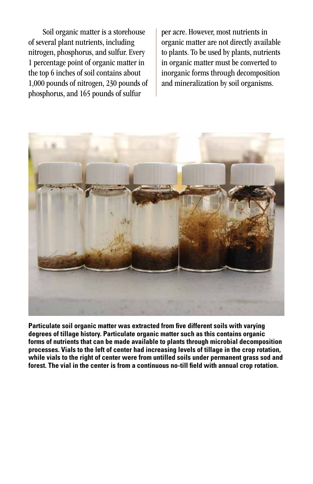Soil organic matter is a storehouse of several plant nutrients, including nitrogen, phosphorus, and sulfur. Every 1 percentage point of organic matter in the top 6 inches of soil contains about 1,000 pounds of nitrogen, 230 pounds of phosphorus, and 165 pounds of sulfur

per acre. However, most nutrients in organic matter are not directly available to plants. To be used by plants, nutrients in organic matter must be converted to inorganic forms through decomposition and mineralization by soil organisms.



**Particulate soil organic matter was extracted from five different soils with varying degrees of tillage history. Particulate organic matter such as this contains organic forms of nutrients that can be made available to plants through microbial decomposition processes. Vials to the left of center had increasing levels of tillage in the crop rotation, while vials to the right of center were from untilled soils under permanent grass sod and forest. The vial in the center is from a continuous no-till field with annual crop rotation.**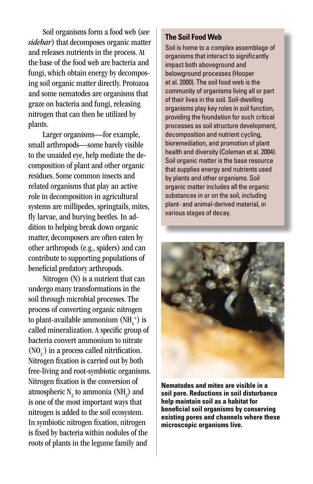Soil organisms form a food web (*see sidebar*) that decomposes organic matter and releases nutrients in the process. At the base of the food web are bacteria and fungi, which obtain energy by decomposing soil organic matter directly. Protozoa and some nematodes are organisms that graze on bacteria and fungi, releasing nitrogen that can then be utilized by plants.

Larger organisms—for example, small arthropods—some barely visible to the unaided eye, help mediate the decomposition of plant and other organic residues. Some common insects and related organisms that play an active role in decomposition in agricultural systems are millipedes, springtails, mites, fly larvae, and burying beetles. In addition to helping break down organic matter, decomposers are often eaten by other arthropods (e.g., spiders) and can contribute to supporting populations of beneficial predatory arthropods.

Nitrogen (N) is a nutrient that can undergo many transformations in the soil through microbial processes. The process of converting organic nitrogen to plant-available ammonium (NH $_4^{\text{+}}$ ) is called mineralization. A specific group of bacteria convert ammonium to nitrate (NO<sub>3</sub><sup>-</sup>) in a process called nitrification. Nitrogen fixation is carried out by both free-living and root-symbiotic organisms. Nitrogen fixation is the conversion of atmospheric  $N_2$  to ammonia (NH<sub>3</sub>) and is one of the most important ways that nitrogen is added to the soil ecosystem. In symbiotic nitrogen fixation, nitrogen is fixed by bacteria within nodules of the roots of plants in the legume family and

#### **The Soil Food Web**

Soil is home to a complex assemblage of organisms that interact to significantly impact both aboveground and belowground processes (Hooper et al. 2000). The soil food web is the community of organisms living all or part of their lives in the soil. Soil-dwelling organisms play key roles in soil function, providing the foundation for such critical processes as soil structure development, decomposition and nutrient cycling, bioremediation, and promotion of plant health and diversity (Coleman et al. 2004). Soil organic matter is the base resource that supplies energy and nutrients used by plants and other organisms. Soil organic matter includes all the organic substances in or on the soil, including plant- and animal-derived material, in various stages of decay.



**Nematodes and mites are visible in a soil pore. Reductions in soil disturbance help maintain soil as a habitat for beneficial soil organisms by conserving existing pores and channels where these microscopic organisms live.**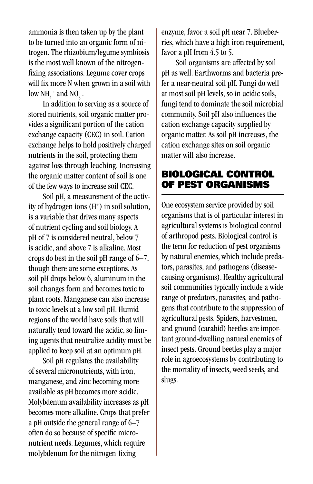ammonia is then taken up by the plant to be turned into an organic form of nitrogen. The rhizobium/legume symbiosis is the most well known of the nitrogenfixing associations. Legume cover crops will fix more N when grown in a soil with low  $NH_4^+$  and  $NO_3^-$ .

In addition to serving as a source of stored nutrients, soil organic matter provides a significant portion of the cation exchange capacity (CEC) in soil. Cation exchange helps to hold positively charged nutrients in the soil, protecting them against loss through leaching. Increasing the organic matter content of soil is one of the few ways to increase soil CEC.

Soil pH, a measurement of the activity of hydrogen ions  $(H^+)$  in soil solution, is a variable that drives many aspects of nutrient cycling and soil biology. A pH of 7 is considered neutral, below 7 is acidic, and above 7 is alkaline. Most crops do best in the soil pH range of 6–7, though there are some exceptions. As soil pH drops below 6, aluminum in the soil changes form and becomes toxic to plant roots. Manganese can also increase to toxic levels at a low soil pH. Humid regions of the world have soils that will naturally tend toward the acidic, so liming agents that neutralize acidity must be applied to keep soil at an optimum pH.

Soil pH regulates the availability of several micronutrients, with iron, manganese, and zinc becoming more available as pH becomes more acidic. Molybdenum availability increases as pH becomes more alkaline. Crops that prefer a pH outside the general range of 6–7 often do so because of specific micronutrient needs. Legumes, which require molybdenum for the nitrogen-fixing

enzyme, favor a soil pH near 7. Blueberries, which have a high iron requirement, favor a pH from 4.5 to 5.

Soil organisms are affected by soil pH as well. Earthworms and bacteria prefer a near-neutral soil pH. Fungi do well at most soil pH levels, so in acidic soils, fungi tend to dominate the soil microbial community. Soil pH also influences the cation exchange capacity supplied by organic matter. As soil pH increases, the cation exchange sites on soil organic matter will also increase.

## Biological Control of Pest Organisms

One ecosystem service provided by soil organisms that is of particular interest in agricultural systems is biological control of arthropod pests. Biological control is the term for reduction of pest organisms by natural enemies, which include predators, parasites, and pathogens (diseasecausing organisms). Healthy agricultural soil communities typically include a wide range of predators, parasites, and pathogens that contribute to the suppression of agricultural pests. Spiders, harvestmen, and ground (carabid) beetles are important ground-dwelling natural enemies of insect pests. Ground beetles play a major role in agroecosystems by contributing to the mortality of insects, weed seeds, and slugs.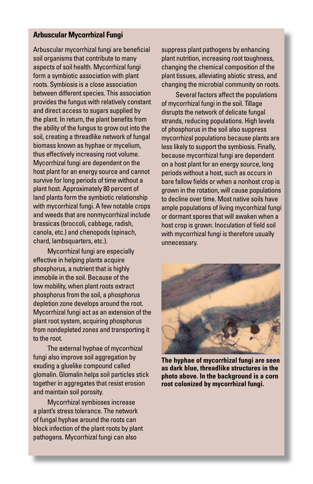#### **Arbuscular Mycorrhizal Fungi**

Arbuscular mycorrhizal fungi are beneficial soil organisms that contribute to many aspects of soil health. Mycorrhizal fungi form a symbiotic association with plant roots. Symbiosis is a close association between different species. This association provides the fungus with relatively constant and direct access to sugars supplied by the plant. In return, the plant benefits from the ability of the fungus to grow out into the soil, creating a threadlike network of fungal biomass known as hyphae or mycelium, thus effectively increasing root volume. Mycorrhizal fungi are dependent on the host plant for an energy source and cannot survive for long periods of time without a plant host. Approximately 80 percent of land plants form the symbiotic relationship with mycorrhizal fungi. A few notable crops and weeds that are nonmycorrhizal include brassicas (broccoli, cabbage, radish, canola, etc.) and chenopods (spinach, chard, lambsquarters, etc.).

Mycorrhizal fungi are especially effective in helping plants acquire phosphorus, a nutrient that is highly immobile in the soil. Because of the low mobility, when plant roots extract phosphorus from the soil, a phosphorus depletion zone develops around the root. Mycorrhizal fungi act as an extension of the plant root system, acquiring phosphorus from nondepleted zones and transporting it to the root.

The external hyphae of mycorrhizal fungi also improve soil aggregation by exuding a gluelike compound called glomalin. Glomalin helps soil particles stick together in aggregates that resist erosion and maintain soil porosity.

Mycorrhizal symbioses increase a plant's stress tolerance. The network of fungal hyphae around the roots can block infection of the plant roots by plant pathogens. Mycorrhizal fungi can also

suppress plant pathogens by enhancing plant nutrition, increasing root toughness, changing the chemical composition of the plant tissues, alleviating abiotic stress, and changing the microbial community on roots.

Several factors affect the populations of mycorrhizal fungi in the soil. Tillage disrupts the network of delicate fungal strands, reducing populations. High levels of phosphorus in the soil also suppress mycorrhizal populations because plants are less likely to support the symbiosis. Finally, because mycorrhizal fungi are dependent on a host plant for an energy source, long periods without a host, such as occurs in bare fallow fields or when a nonhost crop is grown in the rotation, will cause populations to decline over time. Most native soils have ample populations of living mycorrhizal fungi or dormant spores that will awaken when a host crop is grown. Inoculation of field soil with mycorrhizal fungi is therefore usually unnecessary.



**The hyphae of mycorrhizal fungi are seen as dark blue, threadlike structures in the photo above. In the background is a corn root colonized by mycorrhizal fungi.**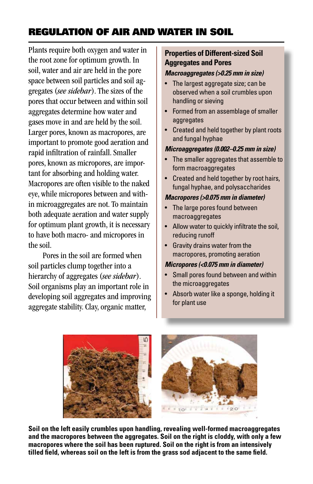# Regulation of Air and Water in Soil

Plants require both oxygen and water in the root zone for optimum growth. In soil, water and air are held in the pore space between soil particles and soil aggregates (*see sidebar*). The sizes of the pores that occur between and within soil aggregates determine how water and gases move in and are held by the soil. Larger pores, known as macropores, are important to promote good aeration and rapid infiltration of rainfall. Smaller pores, known as micropores, are important for absorbing and holding water. Macropores are often visible to the naked eye, while micropores between and within microaggregates are not. To maintain both adequate aeration and water supply for optimum plant growth, it is necessary to have both macro- and micropores in the soil.

Pores in the soil are formed when soil particles clump together into a hierarchy of aggregates (*see sidebar*). Soil organisms play an important role in developing soil aggregates and improving aggregate stability. Clay, organic matter,

#### **Properties of Different-sized Soil Aggregates and Pores**

#### *Macroaggregates (>0.25 mm in size)*

- The largest aggregate size; can be observed when a soil crumbles upon handling or sieving
- Formed from an assemblage of smaller aggregates
- Created and held together by plant roots and fungal hyphae

#### *Microaggregates (0.002–0.25 mm in size)*

- The smaller aggregates that assemble to form macroaggregates
- Created and held together by root hairs, fungal hyphae, and polysaccharides

#### *Macropores (>0.075 mm in diameter)*

- The large pores found between macroaggregates
- Allow water to quickly infiltrate the soil, reducing runoff
- Gravity drains water from the macropores, promoting aeration

#### *Micropores (<0.075 mm in diameter)*

- Small pores found between and within the microaggregates
- Absorb water like a sponge, holding it for plant use



**Soil on the left easily crumbles upon handling, revealing well-formed macroaggregates and the macropores between the aggregates. Soil on the right is cloddy, with only a few macropores where the soil has been ruptured. Soil on the right is from an intensively tilled field, whereas soil on the left is from the grass sod adjacent to the same field.**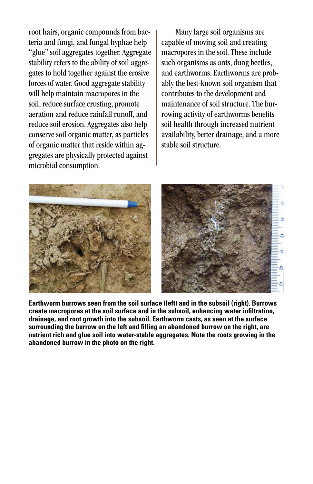root hairs, organic compounds from bacteria and fungi, and fungal hyphae help "glue" soil aggregates together. Aggregate stability refers to the ability of soil aggregates to hold together against the erosive forces of water. Good aggregate stability will help maintain macropores in the soil, reduce surface crusting, promote aeration and reduce rainfall runoff, and reduce soil erosion. Aggregates also help conserve soil organic matter, as particles of organic matter that reside within aggregates are physically protected against microbial consumption.

Many large soil organisms are capable of moving soil and creating macropores in the soil. These include such organisms as ants, dung beetles, and earthworms. Earthworms are probably the best-known soil organism that contributes to the development and maintenance of soil structure. The burrowing activity of earthworms benefits soil health through increased nutrient availability, better drainage, and a more stable soil structure.



**Earthworm burrows seen from the soil surface (left) and in the subsoil (right). Burrows create macropores at the soil surface and in the subsoil, enhancing water infiltration, drainage, and root growth into the subsoil. Earthworm casts, as seen at the surface surrounding the burrow on the left and filling an abandoned burrow on the right, are nutrient rich and glue soil into water-stable aggregates. Note the roots growing in the abandoned burrow in the photo on the right.**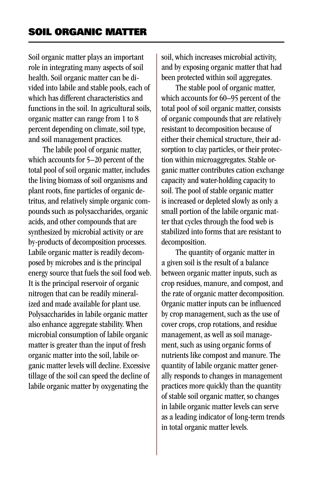Soil organic matter plays an important role in integrating many aspects of soil health. Soil organic matter can be divided into labile and stable pools, each of which has different characteristics and functions in the soil. In agricultural soils, organic matter can range from 1 to 8 percent depending on climate, soil type, and soil management practices.

The labile pool of organic matter, which accounts for 5–20 percent of the total pool of soil organic matter, includes the living biomass of soil organisms and plant roots, fine particles of organic detritus, and relatively simple organic compounds such as polysaccharides, organic acids, and other compounds that are synthesized by microbial activity or are by-products of decomposition processes. Labile organic matter is readily decomposed by microbes and is the principal energy source that fuels the soil food web. It is the principal reservoir of organic nitrogen that can be readily mineralized and made available for plant use. Polysaccharides in labile organic matter also enhance aggregate stability. When microbial consumption of labile organic matter is greater than the input of fresh organic matter into the soil, labile organic matter levels will decline. Excessive tillage of the soil can speed the decline of labile organic matter by oxygenating the

soil, which increases microbial activity, and by exposing organic matter that had been protected within soil aggregates.

The stable pool of organic matter, which accounts for 60–95 percent of the total pool of soil organic matter, consists of organic compounds that are relatively resistant to decomposition because of either their chemical structure, their adsorption to clay particles, or their protection within microaggregates. Stable organic matter contributes cation exchange capacity and water-holding capacity to soil. The pool of stable organic matter is increased or depleted slowly as only a small portion of the labile organic matter that cycles through the food web is stabilized into forms that are resistant to decomposition.

The quantity of organic matter in a given soil is the result of a balance between organic matter inputs, such as crop residues, manure, and compost, and the rate of organic matter decomposition. Organic matter inputs can be influenced by crop management, such as the use of cover crops, crop rotations, and residue management, as well as soil management, such as using organic forms of nutrients like compost and manure. The quantity of labile organic matter generally responds to changes in management practices more quickly than the quantity of stable soil organic matter, so changes in labile organic matter levels can serve as a leading indicator of long-term trends in total organic matter levels.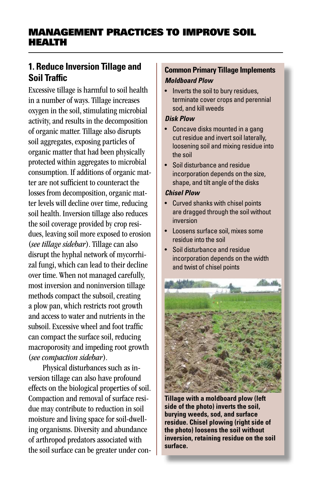# Management Practices To Improve Soil Health

# **1. Reduce Inversion Tillage and Soil Traffic**

Excessive tillage is harmful to soil health in a number of ways. Tillage increases oxygen in the soil, stimulating microbial activity, and results in the decomposition of organic matter. Tillage also disrupts soil aggregates, exposing particles of organic matter that had been physically protected within aggregates to microbial consumption. If additions of organic matter are not sufficient to counteract the losses from decomposition, organic matter levels will decline over time, reducing soil health. Inversion tillage also reduces the soil coverage provided by crop residues, leaving soil more exposed to erosion (*see tillage sidebar*). Tillage can also disrupt the hyphal network of mycorrhizal fungi, which can lead to their decline over time. When not managed carefully, most inversion and noninversion tillage methods compact the subsoil, creating a plow pan, which restricts root growth and access to water and nutrients in the subsoil. Excessive wheel and foot traffic can compact the surface soil, reducing macroporosity and impeding root growth (*see compaction sidebar*).

Physical disturbances such as inversion tillage can also have profound effects on the biological properties of soil. Compaction and removal of surface residue may contribute to reduction in soil moisture and living space for soil-dwelling organisms. Diversity and abundance of arthropod predators associated with the soil surface can be greater under con-

#### **Common Primary Tillage Implements** *Moldboard Plow*

• Inverts the soil to bury residues, terminate cover crops and perennial sod, and kill weeds

#### *Disk Plow*

- Concave disks mounted in a gang cut residue and invert soil laterally, loosening soil and mixing residue into the soil
- Soil disturbance and residue incorporation depends on the size, shape, and tilt angle of the disks

#### *Chisel Plow*

- Curved shanks with chisel points are dragged through the soil without inversion
- Loosens surface soil, mixes some residue into the soil
- Soil disturbance and residue incorporation depends on the width and twist of chisel points



**Tillage with a moldboard plow (left side of the photo) inverts the soil, burying weeds, sod, and surface residue. Chisel plowing (right side of the photo) loosens the soil without inversion, retaining residue on the soil surface.**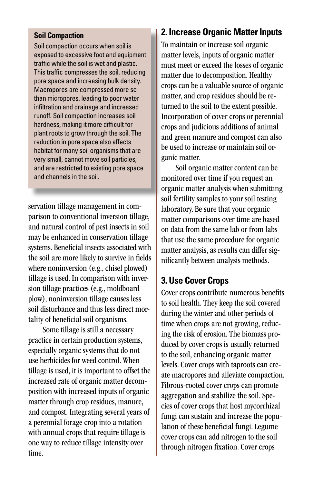#### **Soil Compaction**

Soil compaction occurs when soil is exposed to excessive foot and equipment traffic while the soil is wet and plastic. This traffic compresses the soil, reducing pore space and increasing bulk density. Macropores are compressed more so than micropores, leading to poor water infiltration and drainage and increased runoff. Soil compaction increases soil hardness, making it more difficult for plant roots to grow through the soil. The reduction in pore space also affects habitat for many soil organisms that are very small, cannot move soil particles, and are restricted to existing pore space and channels in the soil.

servation tillage management in comparison to conventional inversion tillage, and natural control of pest insects in soil may be enhanced in conservation tillage systems. Beneficial insects associated with the soil are more likely to survive in fields where noninversion (e.g., chisel plowed) tillage is used. In comparison with inversion tillage practices (e.g., moldboard plow), noninversion tillage causes less soil disturbance and thus less direct mortality of beneficial soil organisms.

Some tillage is still a necessary practice in certain production systems, especially organic systems that do not use herbicides for weed control. When tillage is used, it is important to offset the increased rate of organic matter decomposition with increased inputs of organic matter through crop residues, manure, and compost. Integrating several years of a perennial forage crop into a rotation with annual crops that require tillage is one way to reduce tillage intensity over time.

## **2. Increase Organic Matter Inputs**

To maintain or increase soil organic matter levels, inputs of organic matter must meet or exceed the losses of organic matter due to decomposition. Healthy crops can be a valuable source of organic matter, and crop residues should be returned to the soil to the extent possible. Incorporation of cover crops or perennial crops and judicious additions of animal and green manure and compost can also be used to increase or maintain soil organic matter.

Soil organic matter content can be monitored over time if you request an organic matter analysis when submitting soil fertility samples to your soil testing laboratory. Be sure that your organic matter comparisons over time are based on data from the same lab or from labs that use the same procedure for organic matter analysis, as results can differ significantly between analysis methods.

### **3. Use Cover Crops**

Cover crops contribute numerous benefits to soil health. They keep the soil covered during the winter and other periods of time when crops are not growing, reducing the risk of erosion. The biomass produced by cover crops is usually returned to the soil, enhancing organic matter levels. Cover crops with taproots can create macropores and alleviate compaction. Fibrous-rooted cover crops can promote aggregation and stabilize the soil. Species of cover crops that host mycorrhizal fungi can sustain and increase the population of these beneficial fungi. Legume cover crops can add nitrogen to the soil through nitrogen fixation. Cover crops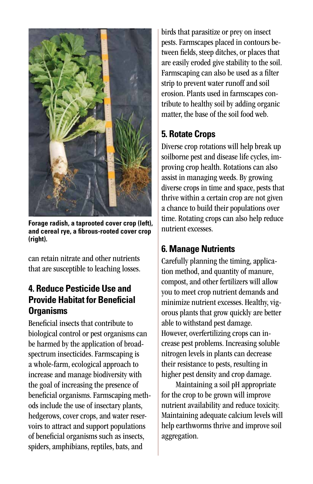

**Forage radish, a taprooted cover crop (left), and cereal rye, a fibrous-rooted cover crop (right).**

can retain nitrate and other nutrients that are susceptible to leaching losses.

## **4. Reduce Pesticide Use and Provide Habitat for Beneficial Organisms**

Beneficial insects that contribute to biological control or pest organisms can be harmed by the application of broadspectrum insecticides. Farmscaping is a whole-farm, ecological approach to increase and manage biodiversity with the goal of increasing the presence of beneficial organisms. Farmscaping methods include the use of insectary plants, hedgerows, cover crops, and water reservoirs to attract and support populations of beneficial organisms such as insects, spiders, amphibians, reptiles, bats, and

birds that parasitize or prey on insect pests. Farmscapes placed in contours between fields, steep ditches, or places that are easily eroded give stability to the soil. Farmscaping can also be used as a filter strip to prevent water runoff and soil erosion. Plants used in farmscapes contribute to healthy soil by adding organic matter, the base of the soil food web.

# **5. Rotate Crops**

Diverse crop rotations will help break up soilborne pest and disease life cycles, improving crop health. Rotations can also assist in managing weeds. By growing diverse crops in time and space, pests that thrive within a certain crop are not given a chance to build their populations over time. Rotating crops can also help reduce nutrient excesses.

# **6. Manage Nutrients**

Carefully planning the timing, application method, and quantity of manure, compost, and other fertilizers will allow you to meet crop nutrient demands and minimize nutrient excesses. Healthy, vigorous plants that grow quickly are better able to withstand pest damage. However, overfertilizing crops can increase pest problems. Increasing soluble nitrogen levels in plants can decrease their resistance to pests, resulting in higher pest density and crop damage.

Maintaining a soil pH appropriate for the crop to be grown will improve nutrient availability and reduce toxicity. Maintaining adequate calcium levels will help earthworms thrive and improve soil aggregation.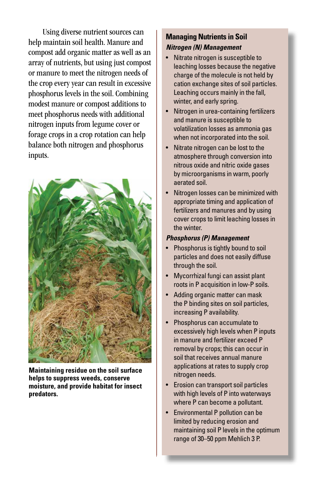Using diverse nutrient sources can help maintain soil health. Manure and compost add organic matter as well as an array of nutrients, but using just compost or manure to meet the nitrogen needs of the crop every year can result in excessive phosphorus levels in the soil. Combining modest manure or compost additions to meet phosphorus needs with additional nitrogen inputs from legume cover or forage crops in a crop rotation can help balance both nitrogen and phosphorus inputs.



**Maintaining residue on the soil surface helps to suppress weeds, conserve moisture, and provide habitat for insect predators.**

#### **Managing Nutrients in Soil** *Nitrogen (N) Management*

- Nitrate nitrogen is susceptible to leaching losses because the negative charge of the molecule is not held by cation exchange sites of soil particles. Leaching occurs mainly in the fall, winter, and early spring.
- Nitrogen in urea-containing fertilizers and manure is susceptible to volatilization losses as ammonia gas when not incorporated into the soil.
- Nitrate nitrogen can be lost to the atmosphere through conversion into nitrous oxide and nitric oxide gases by microorganisms in warm, poorly aerated soil.
- Nitrogen losses can be minimized with appropriate timing and application of fertilizers and manures and by using cover crops to limit leaching losses in the winter.

#### *Phosphorus (P) Management*

- Phosphorus is tightly bound to soil particles and does not easily diffuse through the soil.
- Mycorrhizal fungi can assist plant roots in P acquisition in low-P soils.
- Adding organic matter can mask the P binding sites on soil particles, increasing P availability.
- Phosphorus can accumulate to excessively high levels when P inputs in manure and fertilizer exceed P removal by crops; this can occur in soil that receives annual manure applications at rates to supply crop nitrogen needs.
- Erosion can transport soil particles with high levels of P into waterways where P can become a pollutant.
- Environmental P pollution can be limited by reducing erosion and maintaining soil P levels in the optimum range of 30–50 ppm Mehlich 3 P.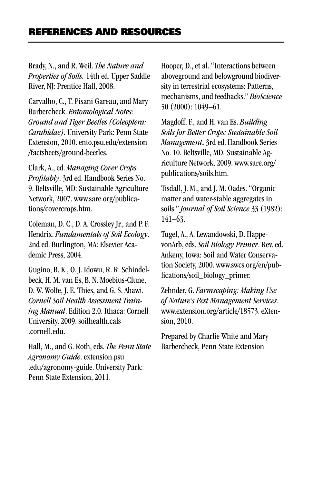Brady, N., and R. Weil. *The Nature and Properties of Soils.* 14th ed. Upper Saddle River, NJ: Prentice Hall, 2008.

Carvalho, C., T. Pisani Gareau, and Mary Barbercheck. *Entomological Notes: Ground and Tiger Beetles (Coleoptera: Carabidae)*. University Park: Penn State Extension, 2010. ento.psu.edu/extension /factsheets/ground-beetles.

Clark, A., ed. *Managing Cover Crops Profitably*. 3rd ed. Handbook Series No. 9. Beltsville, MD: Sustainable Agriculture Network, 2007. www.sare.org/publications/covercrops.htm.

Coleman, D. C., D. A. Crossley Jr., and P. F. Hendrix. *Fundamentals of Soil Ecology*. 2nd ed. Burlington, MA: Elsevier Academic Press, 2004.

Gugino, B. K., O. J. Idowu, R. R. Schindelbeck, H. M. van Es, B. N. Moebius-Clune, D. W. Wolfe, J. E. Thies, and G. S. Abawi. *Cornell Soil Health Assessment Training Manual*. Edition 2.0. Ithaca: Cornell University, 2009. soilhealth.cals .cornell.edu.

Hall, M., and G. Roth, eds. *The Penn State Agronomy Guide*. extension.psu .edu/agronomy-guide. University Park: Penn State Extension, 2011.

Hooper, D., et al. "Interactions between aboveground and belowground biodiversity in terrestrial ecosystems: Patterns, mechanisms, and feedbacks." *BioScience* 50 (2000): 1049–61.

Magdoff, F., and H. van Es. *Building Soils for Better Crops: Sustainable Soil Management*. 3rd ed. Handbook Series No. 10. Beltsville, MD: Sustainable Agriculture Network, 2009. www.sare.org/ publications/soils.htm.

Tisdall, J. M., and J. M. Oades. "Organic matter and water-stable aggregates in soils." *Journal of Soil Science* 33 (1982): 141–63.

Tugel, A., A. Lewandowski, D. HappevonArb, eds. *Soil Biology Primer*. Rev. ed. Ankeny, Iowa: Soil and Water Conservation Society, 2000. www.swcs.org/en/publications/soil\_biology\_primer.

Zehnder, G. *Farmscaping: Making Use of Nature's Pest Management Services*. www.extension.org/article/18573. eXtension, 2010.

Prepared by Charlie White and Mary Barbercheck, Penn State Extension